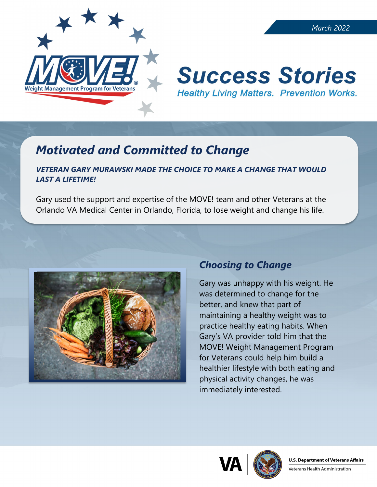

# **Success Stories Healthy Living Matters. Prevention Works.**

## *Motivated and Committed to Change*

#### *VETERAN GARY MURAWSKI MADE THE CHOICE TO MAKE A CHANGE THAT WOULD LAST A LIFETIME!*

Gary used the support and expertise of the MOVE! team and other Veterans at the Orlando VA Medical Center in Orlando, Florida, to lose weight and change his life.



### *Choosing to Change*

Gary was unhappy with his weight. He was determined to change for the better, and knew that part of maintaining a healthy weight was to practice healthy eating habits. When Gary's VA provider told him that the MOVE! Weight Management Program for Veterans could help him build a healthier lifestyle with both eating and physical activity changes, he was immediately interested.





Veterans Health Administration